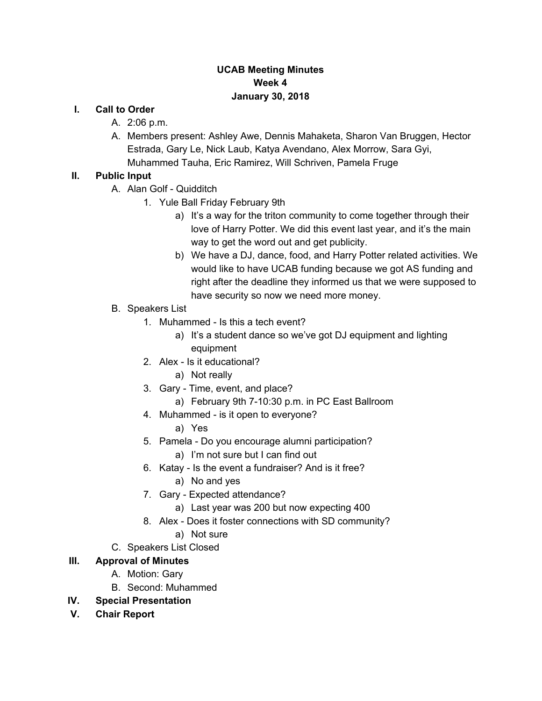#### **UCAB Meeting Minutes Week 4 January 30, 2018**

#### **I. Call to Order**

- A. 2:06 p.m.
- A. Members present: Ashley Awe, Dennis Mahaketa, Sharon Van Bruggen, Hector Estrada, Gary Le, Nick Laub, Katya Avendano, Alex Morrow, Sara Gyi, Muhammed Tauha, Eric Ramirez, Will Schriven, Pamela Fruge

#### **II. Public Input**

- A. Alan Golf Quidditch
	- 1. Yule Ball Friday February 9th
		- a) It's a way for the triton community to come together through their love of Harry Potter. We did this event last year, and it's the main way to get the word out and get publicity.
		- b) We have a DJ, dance, food, and Harry Potter related activities. We would like to have UCAB funding because we got AS funding and right after the deadline they informed us that we were supposed to have security so now we need more money.
- B. Speakers List
	- 1. Muhammed Is this a tech event?
		- a) It's a student dance so we've got DJ equipment and lighting equipment
	- 2. Alex Is it educational?
		- a) Not really
	- 3. Gary Time, event, and place?
		- a) February 9th 7-10:30 p.m. in PC East Ballroom
	- 4. Muhammed is it open to everyone?
		- a) Yes
	- 5. Pamela Do you encourage alumni participation?
		- a) I'm not sure but I can find out
	- 6. Katay Is the event a fundraiser? And is it free?
		- a) No and yes
	- 7. Gary Expected attendance?
		- a) Last year was 200 but now expecting 400
	- 8. Alex Does it foster connections with SD community?
		- a) Not sure
- C. Speakers List Closed

### **III. Approval of Minutes**

- A. Motion: Gary
- B. Second: Muhammed
- **IV. Special Presentation**
- **V. Chair Report**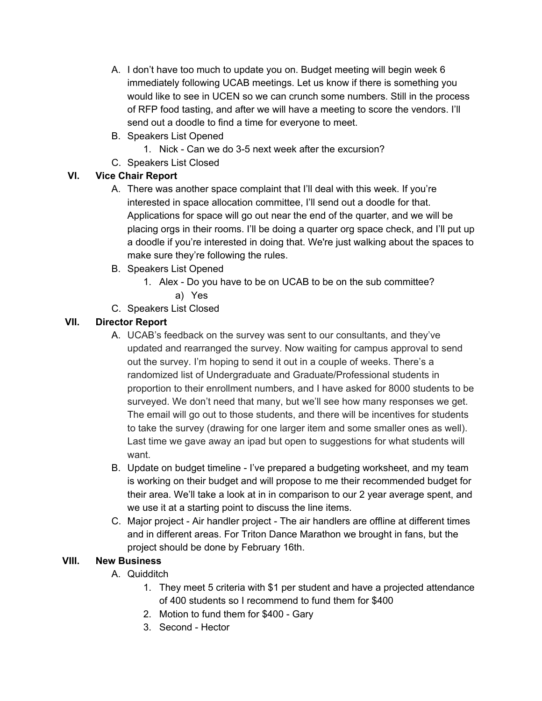- A. I don't have too much to update you on. Budget meeting will begin week 6 immediately following UCAB meetings. Let us know if there is something you would like to see in UCEN so we can crunch some numbers. Still in the process of RFP food tasting, and after we will have a meeting to score the vendors. I'll send out a doodle to find a time for everyone to meet.
- B. Speakers List Opened
	- 1. Nick Can we do 3-5 next week after the excursion?
- C. Speakers List Closed

# **VI. Vice Chair Report**

- A. There was another space complaint that I'll deal with this week. If you're interested in space allocation committee, I'll send out a doodle for that. Applications for space will go out near the end of the quarter, and we will be placing orgs in their rooms. I'll be doing a quarter org space check, and I'll put up a doodle if you're interested in doing that. We're just walking about the spaces to make sure they're following the rules.
- B. Speakers List Opened
	- 1. Alex Do you have to be on UCAB to be on the sub committee? a) Yes
- C. Speakers List Closed

### **VII. Director Report**

- A. UCAB's feedback on the survey was sent to our consultants, and they've updated and rearranged the survey. Now waiting for campus approval to send out the survey. I'm hoping to send it out in a couple of weeks. There's a randomized list of Undergraduate and Graduate/Professional students in proportion to their enrollment numbers, and I have asked for 8000 students to be surveyed. We don't need that many, but we'll see how many responses we get. The email will go out to those students, and there will be incentives for students to take the survey (drawing for one larger item and some smaller ones as well). Last time we gave away an ipad but open to suggestions for what students will want.
- B. Update on budget timeline I've prepared a budgeting worksheet, and my team is working on their budget and will propose to me their recommended budget for their area. We'll take a look at in in comparison to our 2 year average spent, and we use it at a starting point to discuss the line items.
- C. Major project Air handler project The air handlers are offline at different times and in different areas. For Triton Dance Marathon we brought in fans, but the project should be done by February 16th.

### **VIII. New Business**

- A. Quidditch
	- 1. They meet 5 criteria with \$1 per student and have a projected attendance of 400 students so I recommend to fund them for \$400
	- 2. Motion to fund them for \$400 Gary
	- 3. Second Hector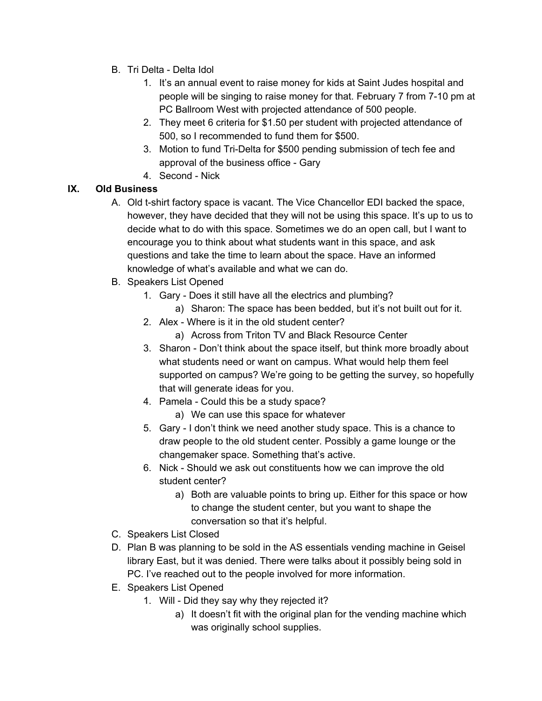- B. Tri Delta Delta Idol
	- 1. It's an annual event to raise money for kids at Saint Judes hospital and people will be singing to raise money for that. February 7 from 7-10 pm at PC Ballroom West with projected attendance of 500 people.
	- 2. They meet 6 criteria for \$1.50 per student with projected attendance of 500, so I recommended to fund them for \$500.
	- 3. Motion to fund Tri-Delta for \$500 pending submission of tech fee and approval of the business office - Gary
	- 4. Second Nick

# **IX. Old Business**

- A. Old t-shirt factory space is vacant. The Vice Chancellor EDI backed the space, however, they have decided that they will not be using this space. It's up to us to decide what to do with this space. Sometimes we do an open call, but I want to encourage you to think about what students want in this space, and ask questions and take the time to learn about the space. Have an informed knowledge of what's available and what we can do.
- B. Speakers List Opened
	- 1. Gary Does it still have all the electrics and plumbing?
		- a) Sharon: The space has been bedded, but it's not built out for it.
	- 2. Alex Where is it in the old student center?
		- a) Across from Triton TV and Black Resource Center
	- 3. Sharon Don't think about the space itself, but think more broadly about what students need or want on campus. What would help them feel supported on campus? We're going to be getting the survey, so hopefully that will generate ideas for you.
	- 4. Pamela Could this be a study space?
		- a) We can use this space for whatever
	- 5. Gary I don't think we need another study space. This is a chance to draw people to the old student center. Possibly a game lounge or the changemaker space. Something that's active.
	- 6. Nick Should we ask out constituents how we can improve the old student center?
		- a) Both are valuable points to bring up. Either for this space or how to change the student center, but you want to shape the conversation so that it's helpful.
- C. Speakers List Closed
- D. Plan B was planning to be sold in the AS essentials vending machine in Geisel library East, but it was denied. There were talks about it possibly being sold in PC. I've reached out to the people involved for more information.
- E. Speakers List Opened
	- 1. Will Did they say why they rejected it?
		- a) It doesn't fit with the original plan for the vending machine which was originally school supplies.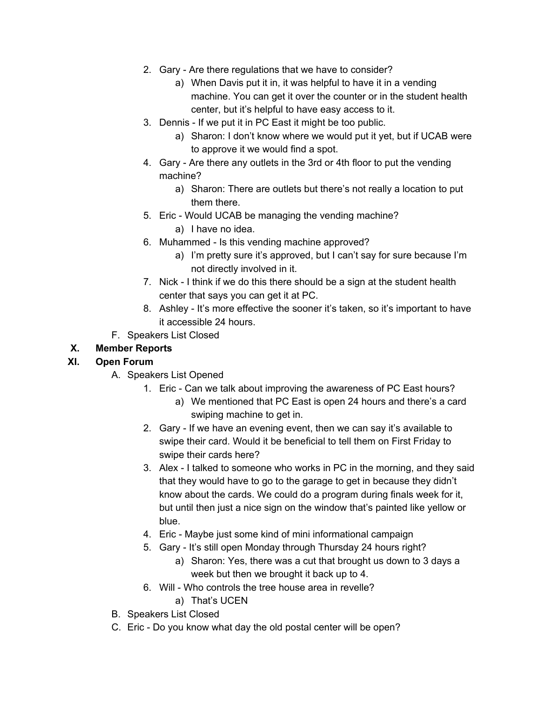- 2. Gary Are there regulations that we have to consider?
	- a) When Davis put it in, it was helpful to have it in a vending machine. You can get it over the counter or in the student health center, but it's helpful to have easy access to it.
- 3. Dennis If we put it in PC East it might be too public.
	- a) Sharon: I don't know where we would put it yet, but if UCAB were to approve it we would find a spot.
- 4. Gary Are there any outlets in the 3rd or 4th floor to put the vending machine?
	- a) Sharon: There are outlets but there's not really a location to put them there.
- 5. Eric Would UCAB be managing the vending machine?
	- a) I have no idea.
- 6. Muhammed Is this vending machine approved?
	- a) I'm pretty sure it's approved, but I can't say for sure because I'm not directly involved in it.
- 7. Nick I think if we do this there should be a sign at the student health center that says you can get it at PC.
- 8. Ashley It's more effective the sooner it's taken, so it's important to have it accessible 24 hours.
- F. Speakers List Closed

# **X. Member Reports**

### **XI. Open Forum**

- A. Speakers List Opened
	- 1. Eric Can we talk about improving the awareness of PC East hours?
		- a) We mentioned that PC East is open 24 hours and there's a card swiping machine to get in.
	- 2. Gary If we have an evening event, then we can say it's available to swipe their card. Would it be beneficial to tell them on First Friday to swipe their cards here?
	- 3. Alex I talked to someone who works in PC in the morning, and they said that they would have to go to the garage to get in because they didn't know about the cards. We could do a program during finals week for it, but until then just a nice sign on the window that's painted like yellow or blue.
	- 4. Eric Maybe just some kind of mini informational campaign
	- 5. Gary It's still open Monday through Thursday 24 hours right?
		- a) Sharon: Yes, there was a cut that brought us down to 3 days a week but then we brought it back up to 4.
	- 6. Will Who controls the tree house area in revelle?
		- a) That's UCEN
- B. Speakers List Closed
- C. Eric Do you know what day the old postal center will be open?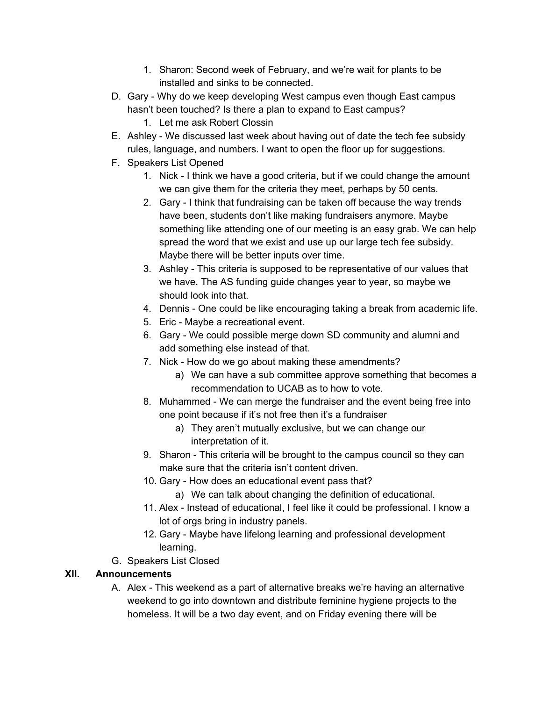- 1. Sharon: Second week of February, and we're wait for plants to be installed and sinks to be connected.
- D. Gary Why do we keep developing West campus even though East campus hasn't been touched? Is there a plan to expand to East campus?
	- 1. Let me ask Robert Clossin
- E. Ashley We discussed last week about having out of date the tech fee subsidy rules, language, and numbers. I want to open the floor up for suggestions.
- F. Speakers List Opened
	- 1. Nick I think we have a good criteria, but if we could change the amount we can give them for the criteria they meet, perhaps by 50 cents.
	- 2. Gary I think that fundraising can be taken off because the way trends have been, students don't like making fundraisers anymore. Maybe something like attending one of our meeting is an easy grab. We can help spread the word that we exist and use up our large tech fee subsidy. Maybe there will be better inputs over time.
	- 3. Ashley This criteria is supposed to be representative of our values that we have. The AS funding guide changes year to year, so maybe we should look into that.
	- 4. Dennis One could be like encouraging taking a break from academic life.
	- 5. Eric Maybe a recreational event.
	- 6. Gary We could possible merge down SD community and alumni and add something else instead of that.
	- 7. Nick How do we go about making these amendments?
		- a) We can have a sub committee approve something that becomes a recommendation to UCAB as to how to vote.
	- 8. Muhammed We can merge the fundraiser and the event being free into one point because if it's not free then it's a fundraiser
		- a) They aren't mutually exclusive, but we can change our interpretation of it.
	- 9. Sharon This criteria will be brought to the campus council so they can make sure that the criteria isn't content driven.
	- 10. Gary How does an educational event pass that?
		- a) We can talk about changing the definition of educational.
	- 11. Alex Instead of educational, I feel like it could be professional. I know a lot of orgs bring in industry panels.
	- 12. Gary Maybe have lifelong learning and professional development learning.
- G. Speakers List Closed

### **XII. Announcements**

A. Alex - This weekend as a part of alternative breaks we're having an alternative weekend to go into downtown and distribute feminine hygiene projects to the homeless. It will be a two day event, and on Friday evening there will be